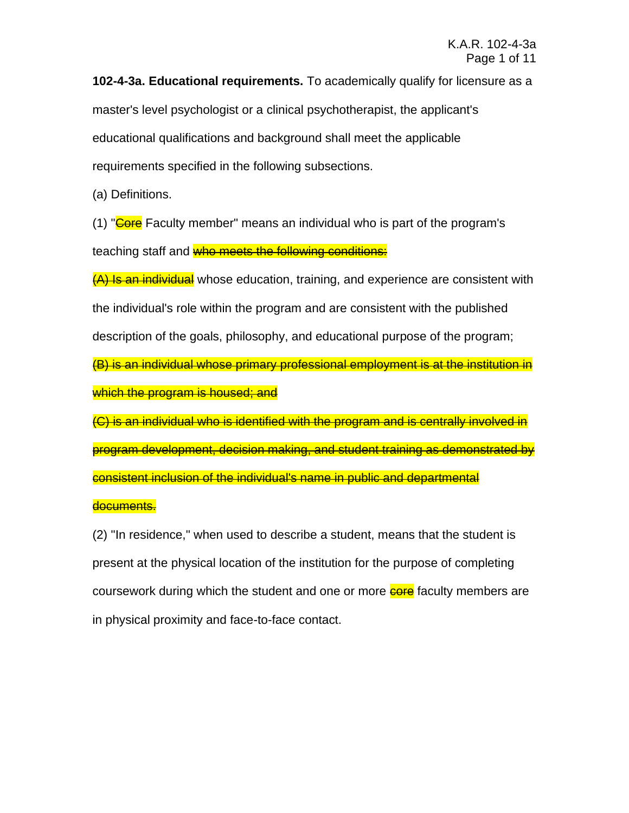**102-4-3a. Educational requirements.** To academically qualify for licensure as a master's level psychologist or a clinical psychotherapist, the applicant's educational qualifications and background shall meet the applicable requirements specified in the following subsections.

(a) Definitions.

(1) "Core Faculty member" means an individual who is part of the program's teaching staff and who meets the following conditions:

(A) Is an individual whose education, training, and experience are consistent with the individual's role within the program and are consistent with the published description of the goals, philosophy, and educational purpose of the program; (B) is an individual whose primary professional employment is at the institution in which the program is housed; and

(C) is an individual who is identified with the program and is centrally involved in program development, decision making, and student training as demonstrated by consistent inclusion of the individual's name in public and departmental

## documents.

(2) "In residence," when used to describe a student, means that the student is present at the physical location of the institution for the purpose of completing coursework during which the student and one or more **core** faculty members are in physical proximity and face-to-face contact.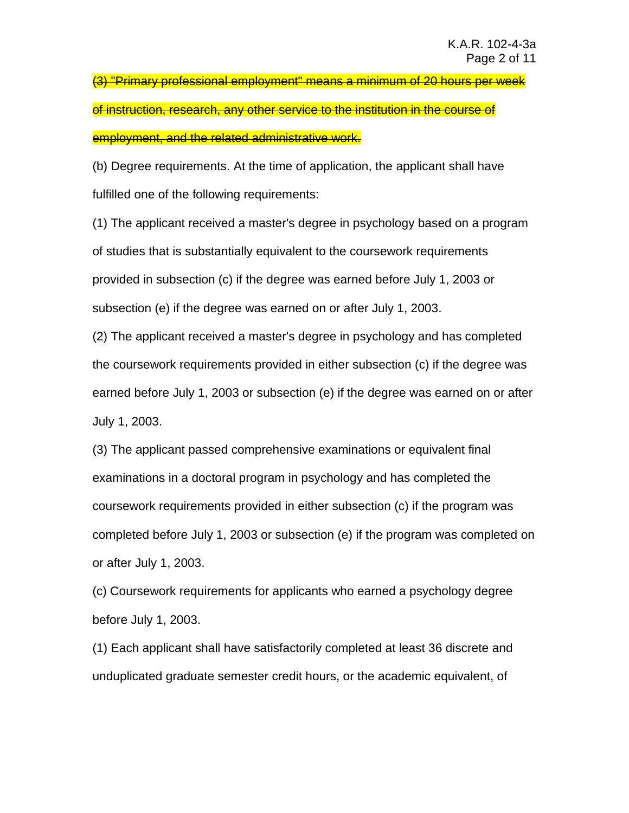(3) "Primary professional employment" means a minimum of 20 hours per week of instruction, research, any other service to the institution in the course of employment, and the related administrative work.

(b) Degree requirements. At the time of application, the applicant shall have fulfilled one of the following requirements:

(1) The applicant received a master's degree in psychology based on a program of studies that is substantially equivalent to the coursework requirements provided in subsection (c) if the degree was earned before July 1, 2003 or subsection (e) if the degree was earned on or after July 1, 2003.

(2) The applicant received a master's degree in psychology and has completed the coursework requirements provided in either subsection (c) if the degree was earned before July 1, 2003 or subsection (e) if the degree was earned on or after July 1, 2003.

(3) The applicant passed comprehensive examinations or equivalent final examinations in a doctoral program in psychology and has completed the coursework requirements provided in either subsection (c) if the program was completed before July 1, 2003 or subsection (e) if the program was completed on or after July 1, 2003.

(c) Coursework requirements for applicants who earned a psychology degree before July 1, 2003.

(1) Each applicant shall have satisfactorily completed at least 36 discrete and unduplicated graduate semester credit hours, or the academic equivalent, of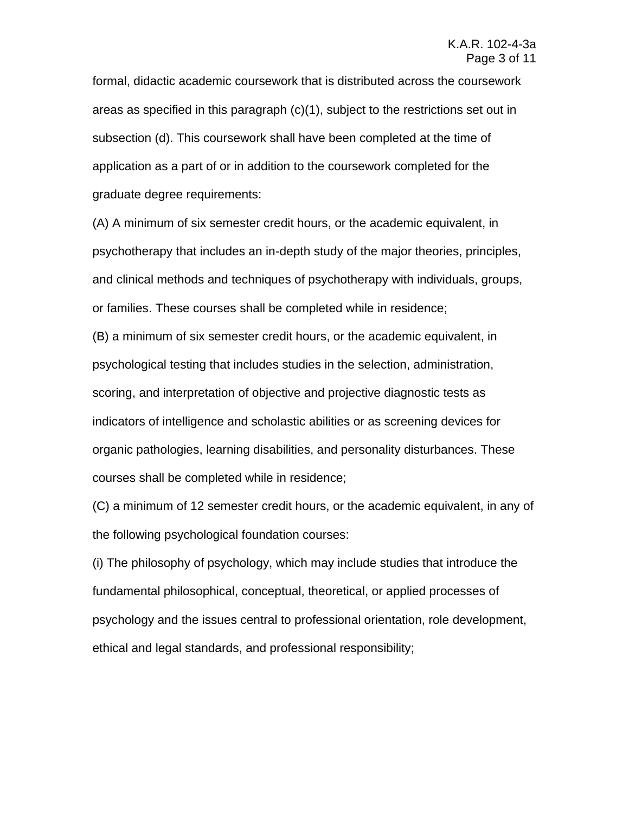formal, didactic academic coursework that is distributed across the coursework areas as specified in this paragraph (c)(1), subject to the restrictions set out in subsection (d). This coursework shall have been completed at the time of application as a part of or in addition to the coursework completed for the graduate degree requirements:

(A) A minimum of six semester credit hours, or the academic equivalent, in psychotherapy that includes an in-depth study of the major theories, principles, and clinical methods and techniques of psychotherapy with individuals, groups, or families. These courses shall be completed while in residence;

(B) a minimum of six semester credit hours, or the academic equivalent, in psychological testing that includes studies in the selection, administration, scoring, and interpretation of objective and projective diagnostic tests as indicators of intelligence and scholastic abilities or as screening devices for organic pathologies, learning disabilities, and personality disturbances. These courses shall be completed while in residence;

(C) a minimum of 12 semester credit hours, or the academic equivalent, in any of the following psychological foundation courses:

(i) The philosophy of psychology, which may include studies that introduce the fundamental philosophical, conceptual, theoretical, or applied processes of psychology and the issues central to professional orientation, role development, ethical and legal standards, and professional responsibility;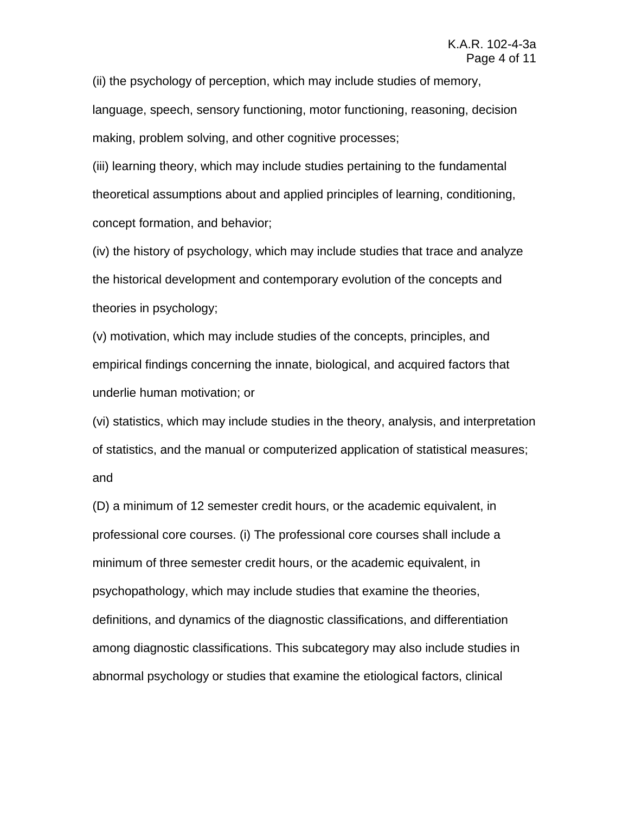(ii) the psychology of perception, which may include studies of memory, language, speech, sensory functioning, motor functioning, reasoning, decision making, problem solving, and other cognitive processes;

(iii) learning theory, which may include studies pertaining to the fundamental theoretical assumptions about and applied principles of learning, conditioning, concept formation, and behavior;

(iv) the history of psychology, which may include studies that trace and analyze the historical development and contemporary evolution of the concepts and theories in psychology;

(v) motivation, which may include studies of the concepts, principles, and empirical findings concerning the innate, biological, and acquired factors that underlie human motivation; or

(vi) statistics, which may include studies in the theory, analysis, and interpretation of statistics, and the manual or computerized application of statistical measures; and

(D) a minimum of 12 semester credit hours, or the academic equivalent, in professional core courses. (i) The professional core courses shall include a minimum of three semester credit hours, or the academic equivalent, in psychopathology, which may include studies that examine the theories, definitions, and dynamics of the diagnostic classifications, and differentiation among diagnostic classifications. This subcategory may also include studies in abnormal psychology or studies that examine the etiological factors, clinical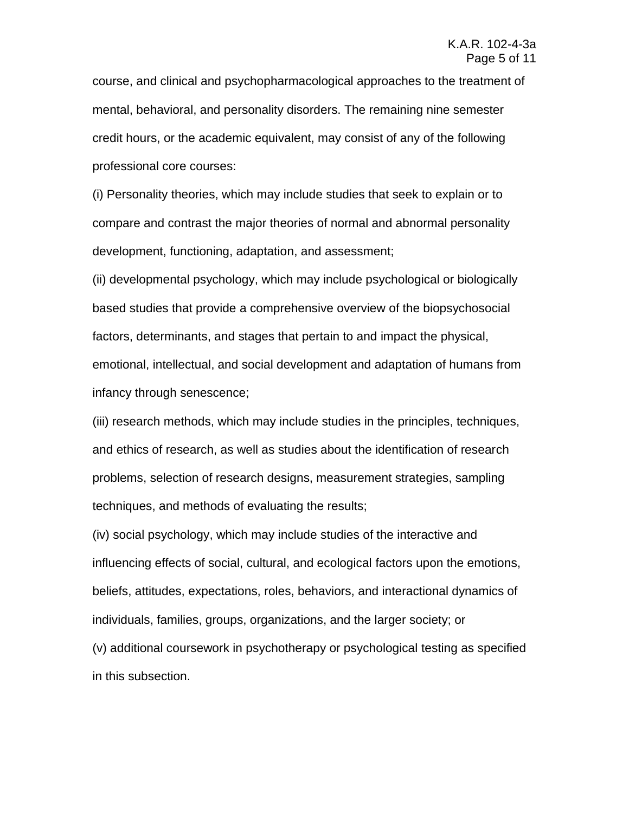course, and clinical and psychopharmacological approaches to the treatment of mental, behavioral, and personality disorders. The remaining nine semester credit hours, or the academic equivalent, may consist of any of the following professional core courses:

(i) Personality theories, which may include studies that seek to explain or to compare and contrast the major theories of normal and abnormal personality development, functioning, adaptation, and assessment;

(ii) developmental psychology, which may include psychological or biologically based studies that provide a comprehensive overview of the biopsychosocial factors, determinants, and stages that pertain to and impact the physical, emotional, intellectual, and social development and adaptation of humans from infancy through senescence;

(iii) research methods, which may include studies in the principles, techniques, and ethics of research, as well as studies about the identification of research problems, selection of research designs, measurement strategies, sampling techniques, and methods of evaluating the results;

(iv) social psychology, which may include studies of the interactive and influencing effects of social, cultural, and ecological factors upon the emotions, beliefs, attitudes, expectations, roles, behaviors, and interactional dynamics of individuals, families, groups, organizations, and the larger society; or (v) additional coursework in psychotherapy or psychological testing as specified in this subsection.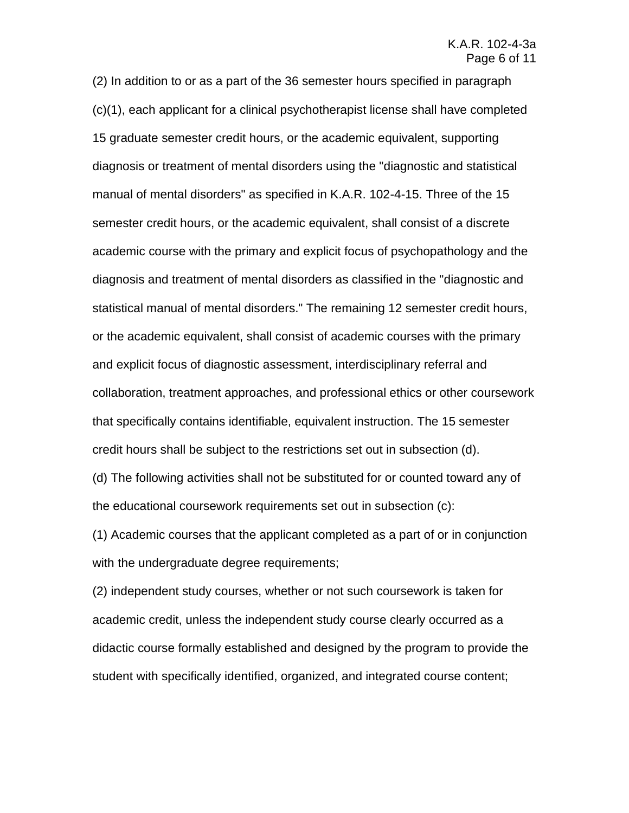(2) In addition to or as a part of the 36 semester hours specified in paragraph (c)(1), each applicant for a clinical psychotherapist license shall have completed 15 graduate semester credit hours, or the academic equivalent, supporting diagnosis or treatment of mental disorders using the "diagnostic and statistical manual of mental disorders" as specified in K.A.R. 102-4-15. Three of the 15 semester credit hours, or the academic equivalent, shall consist of a discrete academic course with the primary and explicit focus of psychopathology and the diagnosis and treatment of mental disorders as classified in the "diagnostic and statistical manual of mental disorders." The remaining 12 semester credit hours, or the academic equivalent, shall consist of academic courses with the primary and explicit focus of diagnostic assessment, interdisciplinary referral and collaboration, treatment approaches, and professional ethics or other coursework that specifically contains identifiable, equivalent instruction. The 15 semester credit hours shall be subject to the restrictions set out in subsection (d).

(d) The following activities shall not be substituted for or counted toward any of the educational coursework requirements set out in subsection (c):

(1) Academic courses that the applicant completed as a part of or in conjunction with the undergraduate degree requirements;

(2) independent study courses, whether or not such coursework is taken for academic credit, unless the independent study course clearly occurred as a didactic course formally established and designed by the program to provide the student with specifically identified, organized, and integrated course content;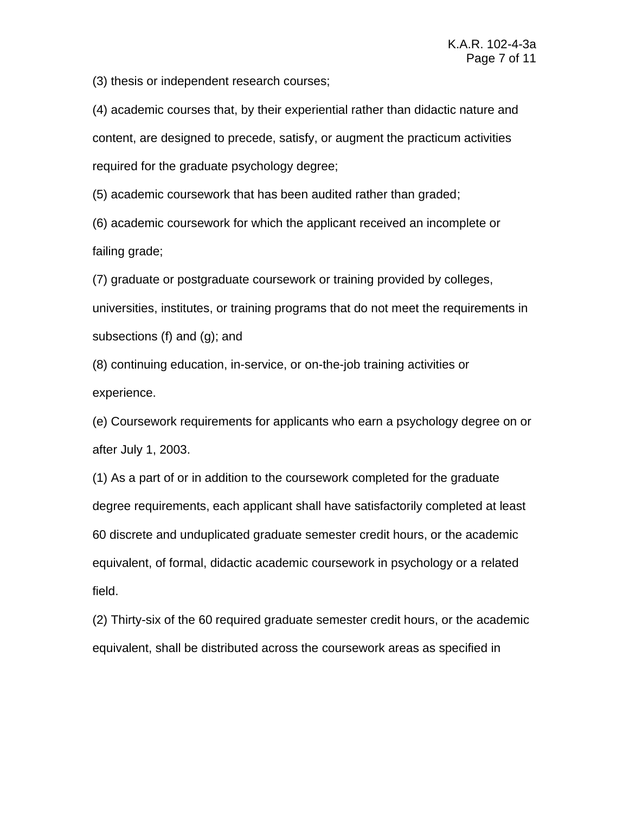(3) thesis or independent research courses;

(4) academic courses that, by their experiential rather than didactic nature and content, are designed to precede, satisfy, or augment the practicum activities required for the graduate psychology degree;

(5) academic coursework that has been audited rather than graded;

(6) academic coursework for which the applicant received an incomplete or failing grade;

(7) graduate or postgraduate coursework or training provided by colleges, universities, institutes, or training programs that do not meet the requirements in subsections (f) and (g); and

(8) continuing education, in-service, or on-the-job training activities or experience.

(e) Coursework requirements for applicants who earn a psychology degree on or after July 1, 2003.

(1) As a part of or in addition to the coursework completed for the graduate degree requirements, each applicant shall have satisfactorily completed at least 60 discrete and unduplicated graduate semester credit hours, or the academic equivalent, of formal, didactic academic coursework in psychology or a related field.

(2) Thirty-six of the 60 required graduate semester credit hours, or the academic equivalent, shall be distributed across the coursework areas as specified in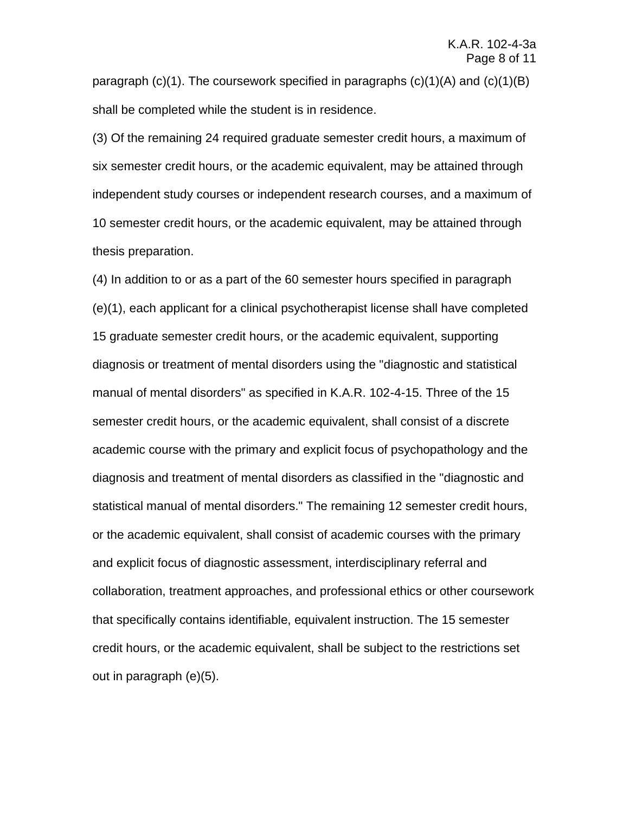paragraph  $(c)(1)$ . The coursework specified in paragraphs  $(c)(1)(A)$  and  $(c)(1)(B)$ shall be completed while the student is in residence.

(3) Of the remaining 24 required graduate semester credit hours, a maximum of six semester credit hours, or the academic equivalent, may be attained through independent study courses or independent research courses, and a maximum of 10 semester credit hours, or the academic equivalent, may be attained through thesis preparation.

(4) In addition to or as a part of the 60 semester hours specified in paragraph (e)(1), each applicant for a clinical psychotherapist license shall have completed 15 graduate semester credit hours, or the academic equivalent, supporting diagnosis or treatment of mental disorders using the "diagnostic and statistical manual of mental disorders" as specified in K.A.R. 102-4-15. Three of the 15 semester credit hours, or the academic equivalent, shall consist of a discrete academic course with the primary and explicit focus of psychopathology and the diagnosis and treatment of mental disorders as classified in the "diagnostic and statistical manual of mental disorders." The remaining 12 semester credit hours, or the academic equivalent, shall consist of academic courses with the primary and explicit focus of diagnostic assessment, interdisciplinary referral and collaboration, treatment approaches, and professional ethics or other coursework that specifically contains identifiable, equivalent instruction. The 15 semester credit hours, or the academic equivalent, shall be subject to the restrictions set out in paragraph (e)(5).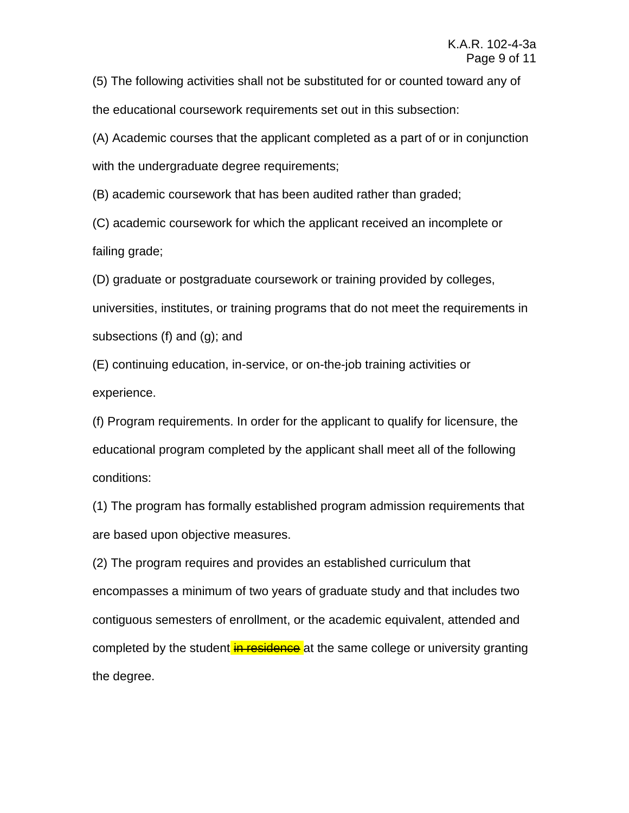(5) The following activities shall not be substituted for or counted toward any of the educational coursework requirements set out in this subsection:

(A) Academic courses that the applicant completed as a part of or in conjunction with the undergraduate degree requirements;

(B) academic coursework that has been audited rather than graded;

(C) academic coursework for which the applicant received an incomplete or failing grade;

(D) graduate or postgraduate coursework or training provided by colleges, universities, institutes, or training programs that do not meet the requirements in subsections (f) and (g); and

(E) continuing education, in-service, or on-the-job training activities or experience.

(f) Program requirements. In order for the applicant to qualify for licensure, the educational program completed by the applicant shall meet all of the following conditions:

(1) The program has formally established program admission requirements that are based upon objective measures.

(2) The program requires and provides an established curriculum that encompasses a minimum of two years of graduate study and that includes two contiguous semesters of enrollment, or the academic equivalent, attended and completed by the student in residence at the same college or university granting the degree.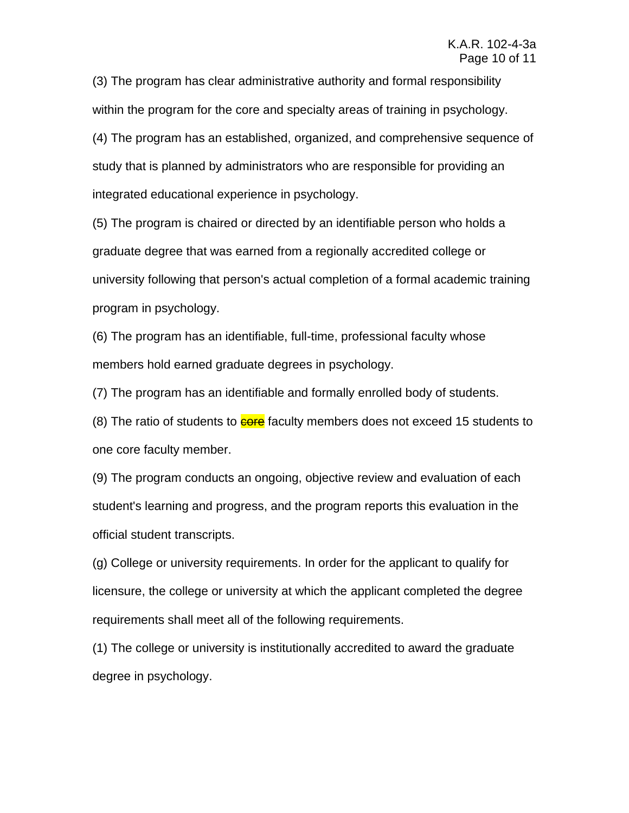(3) The program has clear administrative authority and formal responsibility within the program for the core and specialty areas of training in psychology. (4) The program has an established, organized, and comprehensive sequence of study that is planned by administrators who are responsible for providing an integrated educational experience in psychology.

(5) The program is chaired or directed by an identifiable person who holds a graduate degree that was earned from a regionally accredited college or university following that person's actual completion of a formal academic training program in psychology.

(6) The program has an identifiable, full-time, professional faculty whose members hold earned graduate degrees in psychology.

(7) The program has an identifiable and formally enrolled body of students.

(8) The ratio of students to **core** faculty members does not exceed 15 students to one core faculty member.

(9) The program conducts an ongoing, objective review and evaluation of each student's learning and progress, and the program reports this evaluation in the official student transcripts.

(g) College or university requirements. In order for the applicant to qualify for licensure, the college or university at which the applicant completed the degree requirements shall meet all of the following requirements.

(1) The college or university is institutionally accredited to award the graduate degree in psychology.